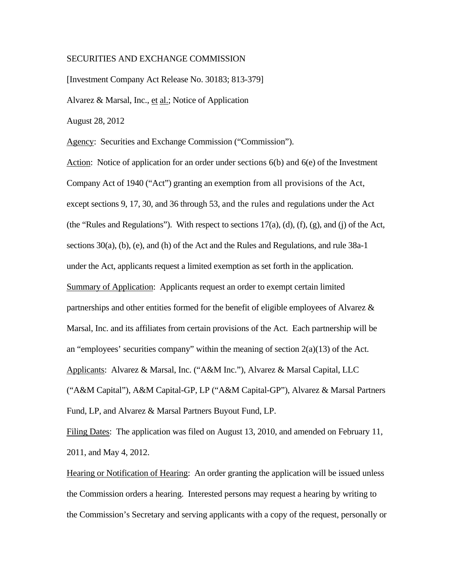## SECURITIES AND EXCHANGE COMMISSION

[Investment Company Act Release No. 30183; 813-379]

Alvarez & Marsal, Inc., et al.; Notice of Application

August 28, 2012

Agency: Securities and Exchange Commission ("Commission").

 Company Act of 1940 ("Act") granting an exemption from all provisions of the Act, except sections 9, 17, 30, and 36 through 53, and the rules and regulations under the Act Action: Notice of application for an order under sections 6(b) and 6(e) of the Investment (the "Rules and Regulations"). With respect to sections 17(a), (d), (f), (g), and (j) of the Act, sections 30(a), (b), (e), and (h) of the Act and the Rules and Regulations, and rule 38a-1 under the Act, applicants request a limited exemption as set forth in the application. Summary of Application: Applicants request an order to exempt certain limited partnerships and other entities formed for the benefit of eligible employees of Alvarez & Marsal, Inc. and its affiliates from certain provisions of the Act. Each partnership will be an "employees' securities company" within the meaning of section  $2(a)(13)$  of the Act. Applicants: Alvarez & Marsal, Inc. ("A&M Inc."), Alvarez & Marsal Capital, LLC ("A&M Capital"), A&M Capital-GP, LP ("A&M Capital-GP"), Alvarez & Marsal Partners Fund, LP, and Alvarez & Marsal Partners Buyout Fund, LP.

Filing Dates: The application was filed on August 13, 2010, and amended on February 11, 2011, and May 4, 2012.

Hearing or Notification of Hearing: An order granting the application will be issued unless the Commission orders a hearing. Interested persons may request a hearing by writing to the Commission's Secretary and serving applicants with a copy of the request, personally or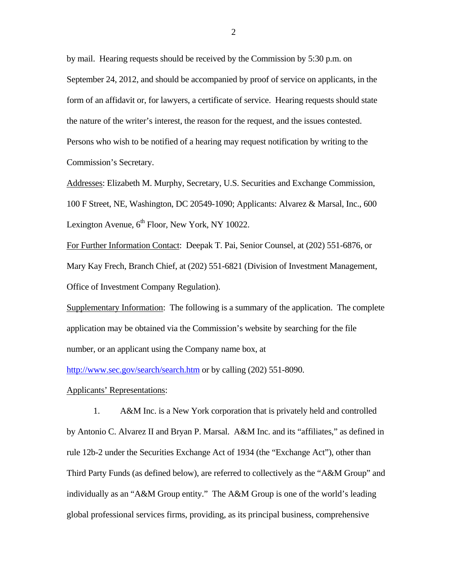by mail. Hearing requests should be received by the Commission by 5:30 p.m. on September 24, 2012, and should be accompanied by proof of service on applicants, in the form of an affidavit or, for lawyers, a certificate of service. Hearing requests should state the nature of the writer's interest, the reason for the request, and the issues contested. Persons who wish to be notified of a hearing may request notification by writing to the Commission's Secretary.

Addresses: Elizabeth M. Murphy, Secretary, U.S. Securities and Exchange Commission, 100 F Street, NE, Washington, DC 20549-1090; Applicants: Alvarez & Marsal, Inc., 600 Lexington Avenue,  $6<sup>th</sup>$  Floor, New York, NY 10022.

For Further Information Contact: Deepak T. Pai, Senior Counsel, at (202) 551-6876, or Mary Kay Frech, Branch Chief, at (202) 551-6821 (Division of Investment Management, Office of Investment Company Regulation).

Supplementary Information: The following is a summary of the application. The complete application may be obtained via the Commission's website by searching for the file number, or an applicant using the Company name box, at

http://www.sec.gov/search/search.htm or by calling (202) 551-8090.

## Applicants' Representations:

1. A&M Inc. is a New York corporation that is privately held and controlled by Antonio C. Alvarez II and Bryan P. Marsal. A&M Inc. and its "affiliates," as defined in rule 12b-2 under the Securities Exchange Act of 1934 (the "Exchange Act"), other than Third Party Funds (as defined below), are referred to collectively as the "A&M Group" and individually as an "A&M Group entity." The A&M Group is one of the world's leading global professional services firms, providing, as its principal business, comprehensive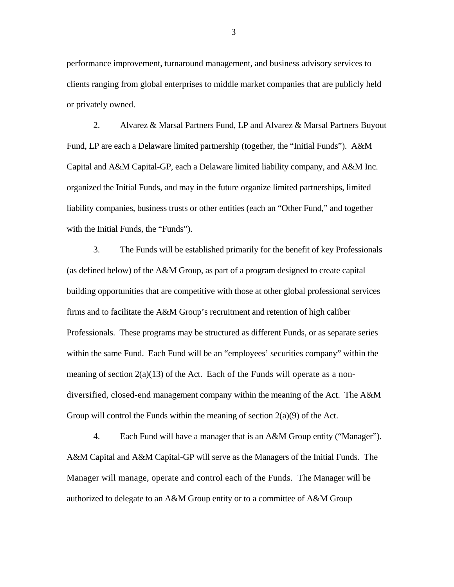performance improvement, turnaround management, and business advisory services to clients ranging from global enterprises to middle market companies that are publicly held or privately owned.

2. Alvarez & Marsal Partners Fund, LP and Alvarez & Marsal Partners Buyout Fund, LP are each a Delaware limited partnership (together, the "Initial Funds"). A&M Capital and A&M Capital-GP, each a Delaware limited liability company, and A&M Inc. organized the Initial Funds, and may in the future organize limited partnerships, limited liability companies, business trusts or other entities (each an "Other Fund," and together with the Initial Funds, the "Funds").

 diversified, closed-end management company within the meaning of the Act. The A&M 3. The Funds will be established primarily for the benefit of key Professionals (as defined below) of the A&M Group, as part of a program designed to create capital building opportunities that are competitive with those at other global professional services firms and to facilitate the A&M Group's recruitment and retention of high caliber Professionals. These programs may be structured as different Funds, or as separate series within the same Fund. Each Fund will be an "employees' securities company" within the meaning of section  $2(a)(13)$  of the Act. Each of the Funds will operate as a non-Group will control the Funds within the meaning of section  $2(a)(9)$  of the Act.

 A&M Capital and A&M Capital-GP will serve as the Managers of the Initial Funds. The Manager will manage, operate and control each of the Funds. The Manager will be 4. Each Fund will have a manager that is an A&M Group entity ("Manager"). authorized to delegate to an A&M Group entity or to a committee of A&M Group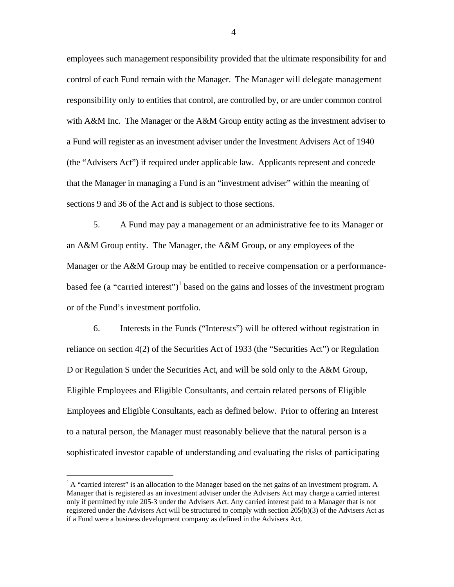control of each Fund remain with the Manager. The Manager will delegate management employees such management responsibility provided that the ultimate responsibility for and responsibility only to entities that control, are controlled by, or are under common control with A&M Inc. The Manager or the A&M Group entity acting as the investment adviser to a Fund will register as an investment adviser under the Investment Advisers Act of 1940 (the "Advisers Act") if required under applicable law. Applicants represent and concede that the Manager in managing a Fund is an "investment adviser" within the meaning of sections 9 and 36 of the Act and is subject to those sections.

5. A Fund may pay a management or an administrative fee to its Manager or an A&M Group entity. The Manager, the A&M Group, or any employees of the Manager or the A&M Group may be entitled to receive compensation or a performancebased fee (a "carried interest")<sup>1</sup> based on the gains and losses of the investment program or of the Fund's investment portfolio.

 reliance on section 4(2) of the Securities Act of 1933 (the "Securities Act") or Regulation Employees and Eligible Consultants, each as defined below. Prior to offering an Interest 6. Interests in the Funds ("Interests") will be offered without registration in D or Regulation S under the Securities Act, and will be sold only to the A&M Group, Eligible Employees and Eligible Consultants, and certain related persons of Eligible to a natural person, the Manager must reasonably believe that the natural person is a sophisticated investor capable of understanding and evaluating the risks of participating

 $\overline{a}$ 

 Manager that is registered as an investment adviser under the Advisers Act may charge a carried interest registered under the Advisers Act will be structured to comply with section 205(b)(3) of the Advisers Act as  $<sup>1</sup>A$  "carried interest" is an allocation to the Manager based on the net gains of an investment program. A</sup> only if permitted by rule 205-3 under the Advisers Act. Any carried interest paid to a Manager that is not if a Fund were a business development company as defined in the Advisers Act.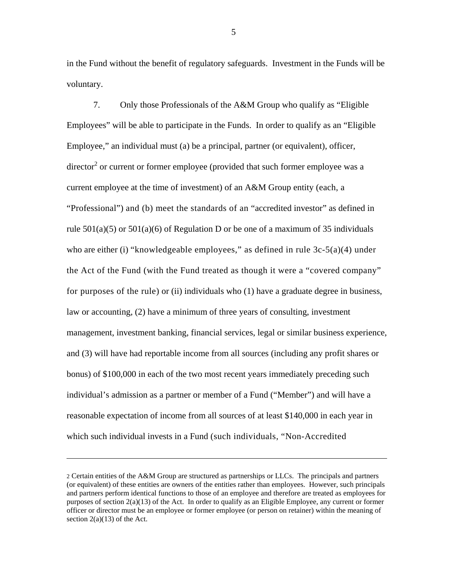in the Fund without the benefit of regulatory safeguards. Investment in the Funds will be voluntary.

who are either (i) "knowledgeable employees," as defined in rule 3c-5(a)(4) under for purposes of the rule) or (ii) individuals who (1) have a graduate degree in business, 7. Only those Professionals of the A&M Group who qualify as "Eligible Employees" will be able to participate in the Funds. In order to qualify as an "Eligible Employee," an individual must (a) be a principal, partner (or equivalent), officer, director<sup>2</sup> or current or former employee (provided that such former employee was a current employee at the time of investment) of an A&M Group entity (each, a "Professional") and (b) meet the standards of an "accredited investor" as defined in rule  $501(a)(5)$  or  $501(a)(6)$  of Regulation D or be one of a maximum of 35 individuals the Act of the Fund (with the Fund treated as though it were a "covered company" law or accounting, (2) have a minimum of three years of consulting, investment management, investment banking, financial services, legal or similar business experience, and (3) will have had reportable income from all sources (including any profit shares or bonus) of \$100,000 in each of the two most recent years immediately preceding such individual's admission as a partner or member of a Fund ("Member") and will have a reasonable expectation of income from all sources of at least \$140,000 in each year in which such individual invests in a Fund (such individuals, "Non-Accredited

<u>.</u>

<sup>2</sup> Certain entities of the A&M Group are structured as partnerships or LLCs. The principals and partners (or equivalent) of these entities are owners of the entities rather than employees. However, such principals and partners perform identical functions to those of an employee and therefore are treated as employees for purposes of section 2(a)(13) of the Act. In order to qualify as an Eligible Employee, any current or former officer or director must be an employee or former employee (or person on retainer) within the meaning of section  $2(a)(13)$  of the Act.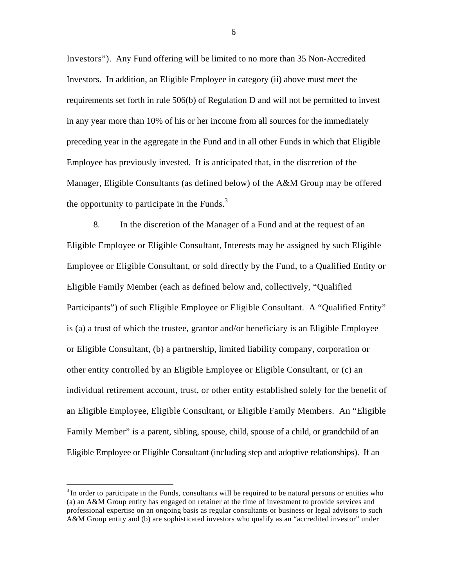Investors"). Any Fund offering will be limited to no more than 35 Non-Accredited Investors. In addition, an Eligible Employee in category (ii) above must meet the requirements set forth in rule 506(b) of Regulation D and will not be permitted to invest in any year more than 10% of his or her income from all sources for the immediately preceding year in the aggregate in the Fund and in all other Funds in which that Eligible Employee has previously invested. It is anticipated that, in the discretion of the Manager, Eligible Consultants (as defined below) of the A&M Group may be offered the opportunity to participate in the Funds. $3$ 

8. In the discretion of the Manager of a Fund and at the request of an Eligible Employee or Eligible Consultant, Interests may be assigned by such Eligible Employee or Eligible Consultant, or sold directly by the Fund, to a Qualified Entity or Eligible Family Member (each as defined below and, collectively, "Qualified Participants") of such Eligible Employee or Eligible Consultant. A "Qualified Entity" is (a) a trust of which the trustee, grantor and/or beneficiary is an Eligible Employee or Eligible Consultant, (b) a partnership, limited liability company, corporation or other entity controlled by an Eligible Employee or Eligible Consultant, or (c) an individual retirement account, trust, or other entity established solely for the benefit of an Eligible Employee, Eligible Consultant, or Eligible Family Members. An "Eligible Family Member" is a parent, sibling, spouse, child, spouse of a child, or grandchild of an Eligible Employee or Eligible Consultant (including step and adoptive relationships). If an

 $\overline{a}$ 

 $3$ In order to participate in the Funds, consultants will be required to be natural persons or entities who (a) an A&M Group entity has engaged on retainer at the time of investment to provide services and professional expertise on an ongoing basis as regular consultants or business or legal advisors to such A&M Group entity and (b) are sophisticated investors who qualify as an "accredited investor" under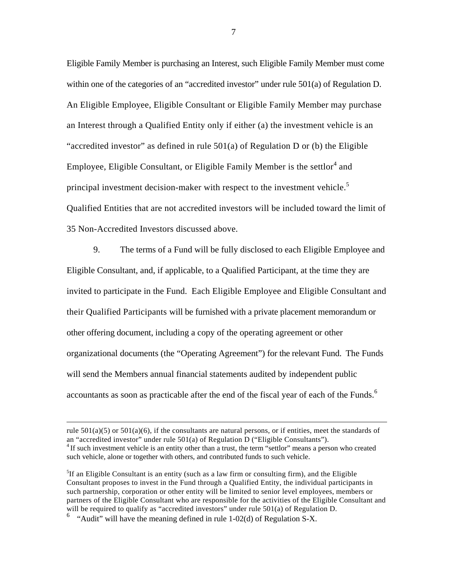principal investment decision-maker with respect to the investment vehicle.<sup>5</sup> Eligible Family Member is purchasing an Interest, such Eligible Family Member must come within one of the categories of an "accredited investor" under rule 501(a) of Regulation D. An Eligible Employee, Eligible Consultant or Eligible Family Member may purchase an Interest through a Qualified Entity only if either (a) the investment vehicle is an "accredited investor" as defined in rule  $501(a)$  of Regulation D or (b) the Eligible Employee, Eligible Consultant, or Eligible Family Member is the settlor<sup>4</sup> and Qualified Entities that are not accredited investors will be included toward the limit of 35 Non-Accredited Investors discussed above.

 their Qualified Participants will be furnished with a private placement memorandum or other offering document, including a copy of the operating agreement or other accountants as soon as practicable after the end of the fiscal year of each of the Funds.<sup>6</sup> 9. The terms of a Fund will be fully disclosed to each Eligible Employee and Eligible Consultant, and, if applicable, to a Qualified Participant, at the time they are invited to participate in the Fund. Each Eligible Employee and Eligible Consultant and organizational documents (the "Operating Agreement") for the relevant Fund. The Funds will send the Members annual financial statements audited by independent public

 $\overline{a}$ 

rule  $501(a)(5)$  or  $501(a)(6)$ , if the consultants are natural persons, or if entities, meet the standards of an "accredited investor" under rule 501(a) of Regulation D ("Eligible Consultants").<br><sup>4</sup> If such investment vehicle is an entity other than a trust, the term "settlor" means a person who created such vehicle, alone or together with others, and contributed funds to such vehicle.

 ${}^{5}$ If an Eligible Consultant is an entity (such as a law firm or consulting firm), and the Eligible Consultant proposes to invest in the Fund through a Qualified Entity, the individual participants in such partnership, corporation or other entity will be limited to senior level employees, members or partners of the Eligible Consultant who are responsible for the activities of the Eligible Consultant and will be required to qualify as "accredited investors" under rule 501(a) of Regulation D.

 $\frac{1}{2}$  "Audit" will have the meaning defined in rule 1-02(d) of Regulation S-X.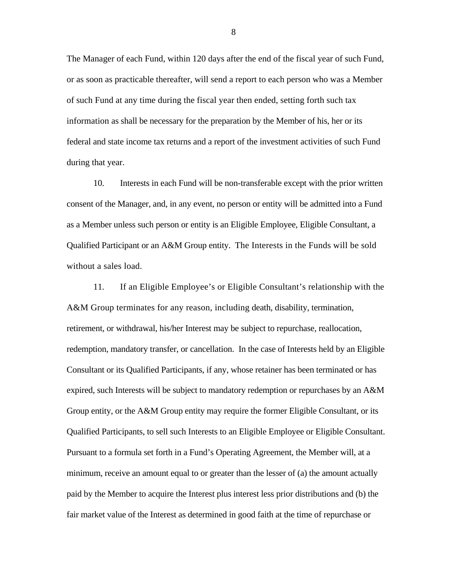The Manager of each Fund, within 120 days after the end of the fiscal year of such Fund, or as soon as practicable thereafter, will send a report to each person who was a Member of such Fund at any time during the fiscal year then ended, setting forth such tax information as shall be necessary for the preparation by the Member of his, her or its federal and state income tax returns and a report of the investment activities of such Fund during that year.

 Qualified Participant or an A&M Group entity. The Interests in the Funds will be sold 10. Interests in each Fund will be non-transferable except with the prior written consent of the Manager, and, in any event, no person or entity will be admitted into a Fund as a Member unless such person or entity is an Eligible Employee, Eligible Consultant, a without a sales load.

11. If an Eligible Employee's or Eligible Consultant's relationship with the A&M Group terminates for any reason, including death, disability, termination, retirement, or withdrawal, his/her Interest may be subject to repurchase, reallocation, redemption, mandatory transfer, or cancellation. In the case of Interests held by an Eligible Consultant or its Qualified Participants, if any, whose retainer has been terminated or has expired, such Interests will be subject to mandatory redemption or repurchases by an A&M Group entity, or the A&M Group entity may require the former Eligible Consultant, or its Qualified Participants, to sell such Interests to an Eligible Employee or Eligible Consultant. Pursuant to a formula set forth in a Fund's Operating Agreement, the Member will, at a minimum, receive an amount equal to or greater than the lesser of (a) the amount actually paid by the Member to acquire the Interest plus interest less prior distributions and (b) the fair market value of the Interest as determined in good faith at the time of repurchase or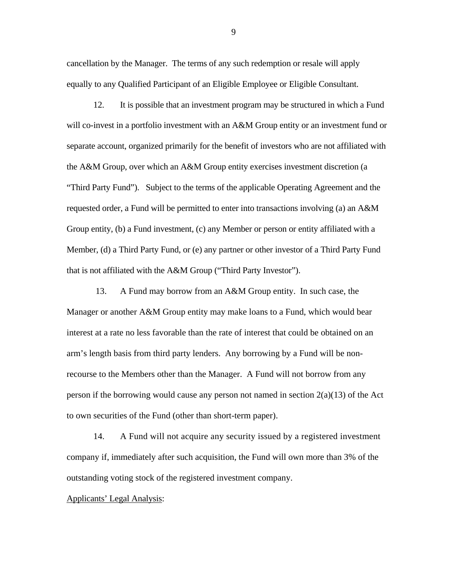cancellation by the Manager. The terms of any such redemption or resale will apply equally to any Qualified Participant of an Eligible Employee or Eligible Consultant.

"Third Party Fund"). Subject to the terms of the applicable Operating Agreement and the 12. It is possible that an investment program may be structured in which a Fund will co-invest in a portfolio investment with an A&M Group entity or an investment fund or separate account, organized primarily for the benefit of investors who are not affiliated with the A&M Group, over which an A&M Group entity exercises investment discretion (a requested order, a Fund will be permitted to enter into transactions involving (a) an A&M Group entity, (b) a Fund investment, (c) any Member or person or entity affiliated with a Member, (d) a Third Party Fund, or (e) any partner or other investor of a Third Party Fund that is not affiliated with the A&M Group ("Third Party Investor").

13. A Fund may borrow from an A&M Group entity. In such case, the Manager or another A&M Group entity may make loans to a Fund, which would bear interest at a rate no less favorable than the rate of interest that could be obtained on an arm's length basis from third party lenders. Any borrowing by a Fund will be nonrecourse to the Members other than the Manager. A Fund will not borrow from any person if the borrowing would cause any person not named in section  $2(a)(13)$  of the Act to own securities of the Fund (other than short-term paper).

14. A Fund will not acquire any security issued by a registered investment company if, immediately after such acquisition, the Fund will own more than 3% of the outstanding voting stock of the registered investment company.

## Applicants' Legal Analysis: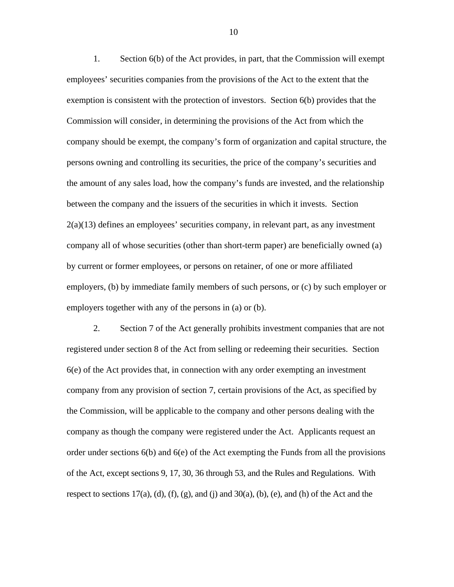1. Section 6(b) of the Act provides, in part, that the Commission will exempt employees' securities companies from the provisions of the Act to the extent that the exemption is consistent with the protection of investors. Section 6(b) provides that the Commission will consider, in determining the provisions of the Act from which the company should be exempt, the company's form of organization and capital structure, the persons owning and controlling its securities, the price of the company's securities and the amount of any sales load, how the company's funds are invested, and the relationship between the company and the issuers of the securities in which it invests. Section  $2(a)(13)$  defines an employees' securities company, in relevant part, as any investment company all of whose securities (other than short-term paper) are beneficially owned (a) by current or former employees, or persons on retainer, of one or more affiliated employers, (b) by immediate family members of such persons, or (c) by such employer or employers together with any of the persons in (a) or (b).

 of the Act, except sections 9, 17, 30, 36 through 53, and the Rules and Regulations. With 2. Section 7 of the Act generally prohibits investment companies that are not registered under section 8 of the Act from selling or redeeming their securities. Section 6(e) of the Act provides that, in connection with any order exempting an investment company from any provision of section 7, certain provisions of the Act, as specified by the Commission, will be applicable to the company and other persons dealing with the company as though the company were registered under the Act. Applicants request an order under sections 6(b) and 6(e) of the Act exempting the Funds from all the provisions respect to sections  $17(a)$ ,  $(d)$ ,  $(f)$ ,  $(g)$ , and  $(i)$  and  $30(a)$ ,  $(b)$ ,  $(e)$ , and  $(h)$  of the Act and the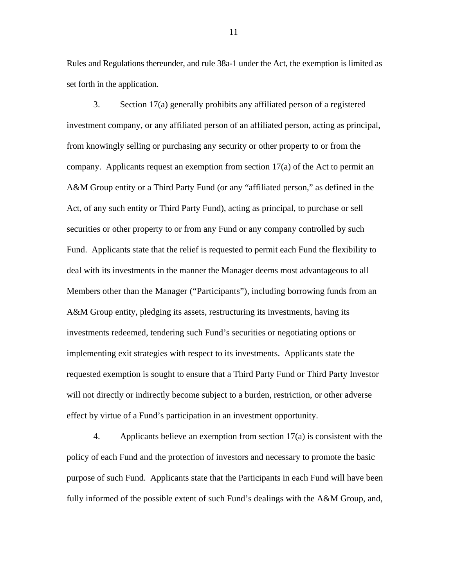Rules and Regulations thereunder, and rule 38a-1 under the Act, the exemption is limited as set forth in the application.

 Members other than the Manager ("Participants"), including borrowing funds from an 3. Section 17(a) generally prohibits any affiliated person of a registered investment company, or any affiliated person of an affiliated person, acting as principal, from knowingly selling or purchasing any security or other property to or from the company. Applicants request an exemption from section 17(a) of the Act to permit an A&M Group entity or a Third Party Fund (or any "affiliated person," as defined in the Act, of any such entity or Third Party Fund), acting as principal, to purchase or sell securities or other property to or from any Fund or any company controlled by such Fund. Applicants state that the relief is requested to permit each Fund the flexibility to deal with its investments in the manner the Manager deems most advantageous to all A&M Group entity, pledging its assets, restructuring its investments, having its investments redeemed, tendering such Fund's securities or negotiating options or implementing exit strategies with respect to its investments. Applicants state the requested exemption is sought to ensure that a Third Party Fund or Third Party Investor will not directly or indirectly become subject to a burden, restriction, or other adverse effect by virtue of a Fund's participation in an investment opportunity.

4. Applicants believe an exemption from section 17(a) is consistent with the policy of each Fund and the protection of investors and necessary to promote the basic purpose of such Fund. Applicants state that the Participants in each Fund will have been fully informed of the possible extent of such Fund's dealings with the A&M Group, and,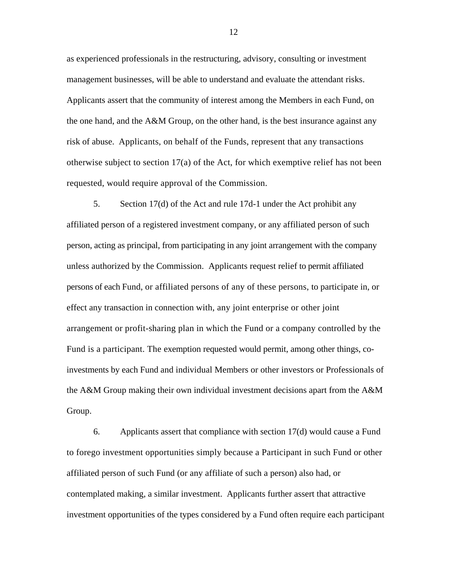risk of abuse. Applicants, on behalf of the Funds, represent that any transactions as experienced professionals in the restructuring, advisory, consulting or investment management businesses, will be able to understand and evaluate the attendant risks. Applicants assert that the community of interest among the Members in each Fund, on the one hand, and the A&M Group, on the other hand, is the best insurance against any otherwise subject to section 17(a) of the Act, for which exemptive relief has not been requested, would require approval of the Commission.

 unless authorized by the Commission. Applicants request relief to permit affiliated persons of each Fund, or affiliated persons of any of these persons, to participate in, or effect any transaction in connection with, any joint enterprise or other joint Fund is a participant. The exemption requested would permit, among other things, co-5. Section 17(d) of the Act and rule 17d-1 under the Act prohibit any affiliated person of a registered investment company, or any affiliated person of such person, acting as principal, from participating in any joint arrangement with the company arrangement or profit-sharing plan in which the Fund or a company controlled by the investments by each Fund and individual Members or other investors or Professionals of the A&M Group making their own individual investment decisions apart from the A&M Group.

6. Applicants assert that compliance with section 17(d) would cause a Fund to forego investment opportunities simply because a Participant in such Fund or other affiliated person of such Fund (or any affiliate of such a person) also had, or contemplated making, a similar investment. Applicants further assert that attractive investment opportunities of the types considered by a Fund often require each participant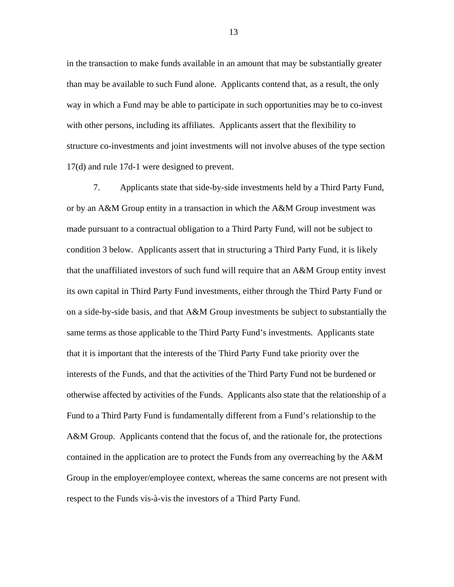in the transaction to make funds available in an amount that may be substantially greater than may be available to such Fund alone. Applicants contend that, as a result, the only way in which a Fund may be able to participate in such opportunities may be to co-invest with other persons, including its affiliates. Applicants assert that the flexibility to structure co-investments and joint investments will not involve abuses of the type section 17(d) and rule 17d-1 were designed to prevent.

 on a side-by-side basis, and that A&M Group investments be subject to substantially the 7. Applicants state that side-by-side investments held by a Third Party Fund, or by an A&M Group entity in a transaction in which the A&M Group investment was made pursuant to a contractual obligation to a Third Party Fund, will not be subject to condition 3 below. Applicants assert that in structuring a Third Party Fund, it is likely that the unaffiliated investors of such fund will require that an A&M Group entity invest its own capital in Third Party Fund investments, either through the Third Party Fund or same terms as those applicable to the Third Party Fund's investments. Applicants state that it is important that the interests of the Third Party Fund take priority over the interests of the Funds, and that the activities of the Third Party Fund not be burdened or otherwise affected by activities of the Funds. Applicants also state that the relationship of a Fund to a Third Party Fund is fundamentally different from a Fund's relationship to the A&M Group. Applicants contend that the focus of, and the rationale for, the protections contained in the application are to protect the Funds from any overreaching by the A&M Group in the employer/employee context, whereas the same concerns are not present with respect to the Funds vis-à-vis the investors of a Third Party Fund.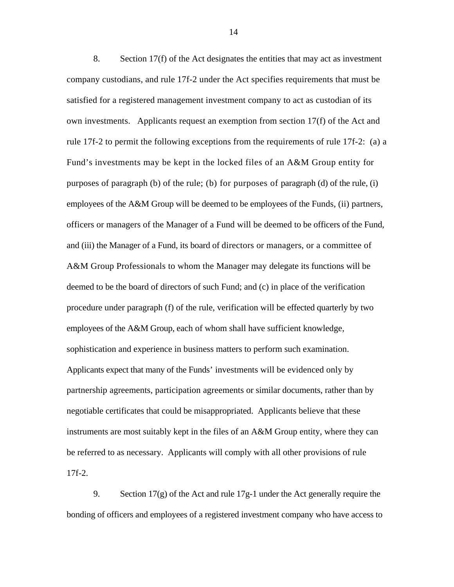rule 17f-2 to permit the following exceptions from the requirements of rule 17f-2: (a) a purposes of paragraph (b) of the rule; (b) for purposes of paragraph (d) of the rule, (i) officers or managers of the Manager of a Fund will be deemed to be officers of the Fund, and (iii) the Manager of a Fund, its board of directors or managers, or a committee of A&M Group Professionals to whom the Manager may delegate its functions will be procedure under paragraph (f) of the rule, verification will be effected quarterly by two sophistication and experience in business matters to perform such examination. Applicants expect that many of the Funds' investments will be evidenced only by Applicants expect that many of the Funds' investments will be evidenced only by 8. Section 17(f) of the Act designates the entities that may act as investment company custodians, and rule 17f-2 under the Act specifies requirements that must be satisfied for a registered management investment company to act as custodian of its own investments. Applicants request an exemption from section 17(f) of the Act and Fund's investments may be kept in the locked files of an A&M Group entity for employees of the A&M Group will be deemed to be employees of the Funds, (ii) partners, deemed to be the board of directors of such Fund; and (c) in place of the verification employees of the A&M Group, each of whom shall have sufficient knowledge, partnership agreements, participation agreements or similar documents, rather than by negotiable certificates that could be misappropriated. Applicants believe that these instruments are most suitably kept in the files of an A&M Group entity, where they can be referred to as necessary. Applicants will comply with all other provisions of rule 17f-2.

9. Section 17(g) of the Act and rule 17g-1 under the Act generally require the bonding of officers and employees of a registered investment company who have access to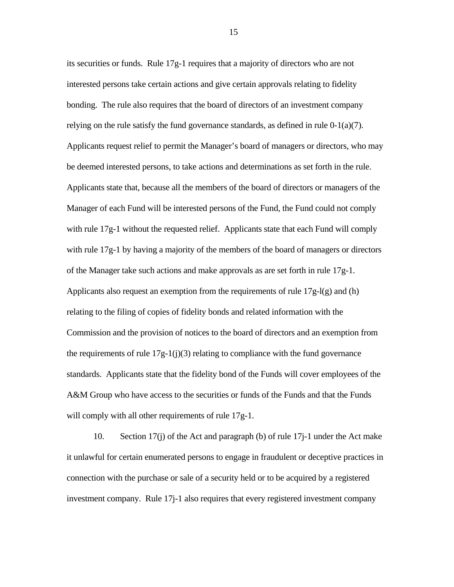its securities or funds. Rule 17g-1 requires that a majority of directors who are not interested persons take certain actions and give certain approvals relating to fidelity bonding. The rule also requires that the board of directors of an investment company relying on the rule satisfy the fund governance standards, as defined in rule  $0-1(a)(7)$ . Applicants request relief to permit the Manager's board of managers or directors, who may be deemed interested persons, to take actions and determinations as set forth in the rule. Applicants state that, because all the members of the board of directors or managers of the Manager of each Fund will be interested persons of the Fund, the Fund could not comply with rule 17g-1 without the requested relief. Applicants state that each Fund will comply with rule  $17g-1$  by having a majority of the members of the board of managers or directors of the Manager take such actions and make approvals as are set forth in rule 17g-1. Applicants also request an exemption from the requirements of rule  $17g$ - $l(g)$  and (h) relating to the filing of copies of fidelity bonds and related information with the Commission and the provision of notices to the board of directors and an exemption from the requirements of rule  $17g-1(j)(3)$  relating to compliance with the fund governance standards. Applicants state that the fidelity bond of the Funds will cover employees of the A&M Group who have access to the securities or funds of the Funds and that the Funds will comply with all other requirements of rule 17g-1.

10. Section 17(j) of the Act and paragraph (b) of rule 17j-1 under the Act make it unlawful for certain enumerated persons to engage in fraudulent or deceptive practices in connection with the purchase or sale of a security held or to be acquired by a registered investment company. Rule 17j-1 also requires that every registered investment company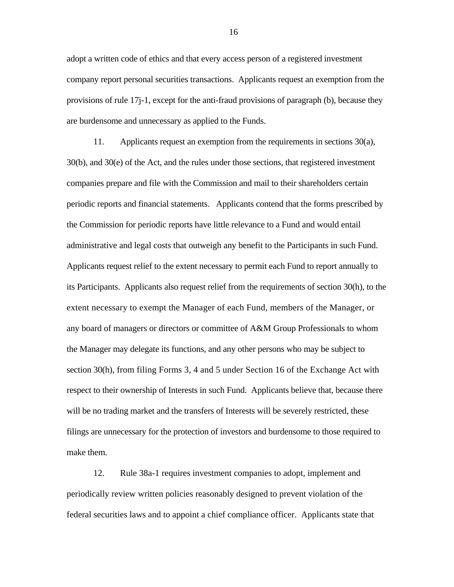adopt a written code of ethics and that every access person of a registered investment company report personal securities transactions. Applicants request an exemption from the provisions of rule 17j-1, except for the anti-fraud provisions of paragraph (b), because they are burdensome and unnecessary as applied to the Funds.

11. Applicants request an exemption from the requirements in sections 30(a), 30(b), and 30(e) of the Act, and the rules under those sections, that registered investment companies prepare and file with the Commission and mail to their shareholders certain periodic reports and financial statements. Applicants contend that the forms prescribed by the Commission for periodic reports have little relevance to a Fund and would entail administrative and legal costs that outweigh any benefit to the Participants in such Fund. Applicants request relief to the extent necessary to permit each Fund to report annually to its Participants. Applicants also request relief from the requirements of section 30(h), to the extent necessary to exempt the Manager of each Fund, members of the Manager, or any board of managers or directors or committee of A&M Group Professionals to whom the Manager may delegate its functions, and any other persons who may be subject to section 30(h), from filing Forms 3, 4 and 5 under Section 16 of the Exchange Act with respect to their ownership of Interests in such Fund. Applicants believe that, because there will be no trading market and the transfers of Interests will be severely restricted, these filings are unnecessary for the protection of investors and burdensome to those required to make them.

12. Rule 38a-1 requires investment companies to adopt, implement and periodically review written policies reasonably designed to prevent violation of the federal securities laws and to appoint a chief compliance officer. Applicants state that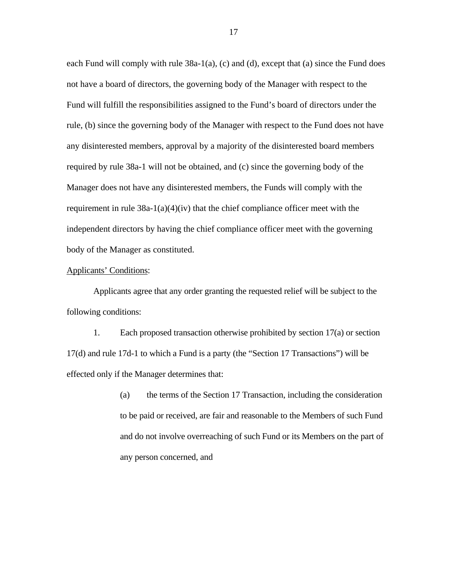each Fund will comply with rule 38a-1(a), (c) and (d), except that (a) since the Fund does not have a board of directors, the governing body of the Manager with respect to the Fund will fulfill the responsibilities assigned to the Fund's board of directors under the rule, (b) since the governing body of the Manager with respect to the Fund does not have any disinterested members, approval by a majority of the disinterested board members required by rule 38a-1 will not be obtained, and (c) since the governing body of the Manager does not have any disinterested members, the Funds will comply with the requirement in rule  $38a-1(a)(4)(iv)$  that the chief compliance officer meet with the independent directors by having the chief compliance officer meet with the governing body of the Manager as constituted.

## Applicants' Conditions:

Applicants agree that any order granting the requested relief will be subject to the following conditions:

1. Each proposed transaction otherwise prohibited by section 17(a) or section 17(d) and rule 17d-1 to which a Fund is a party (the "Section 17 Transactions") will be effected only if the Manager determines that:

> (a) the terms of the Section 17 Transaction, including the consideration to be paid or received, are fair and reasonable to the Members of such Fund and do not involve overreaching of such Fund or its Members on the part of any person concerned, and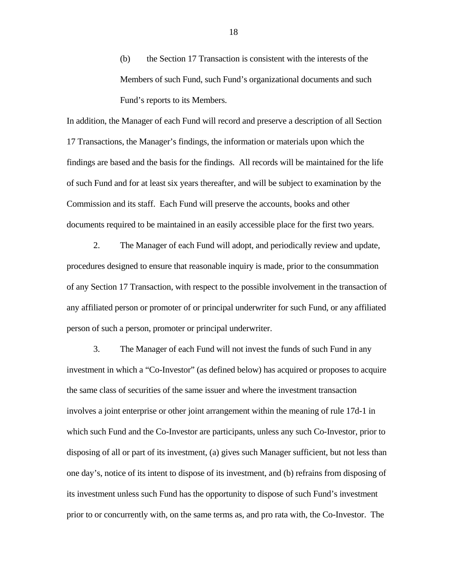(b) the Section 17 Transaction is consistent with the interests of the Members of such Fund, such Fund's organizational documents and such Fund's reports to its Members.

In addition, the Manager of each Fund will record and preserve a description of all Section 17 Transactions, the Manager's findings, the information or materials upon which the findings are based and the basis for the findings. All records will be maintained for the life of such Fund and for at least six years thereafter, and will be subject to examination by the Commission and its staff. Each Fund will preserve the accounts, books and other documents required to be maintained in an easily accessible place for the first two years.

2. The Manager of each Fund will adopt, and periodically review and update, procedures designed to ensure that reasonable inquiry is made, prior to the consummation of any Section 17 Transaction, with respect to the possible involvement in the transaction of any affiliated person or promoter of or principal underwriter for such Fund, or any affiliated person of such a person, promoter or principal underwriter.

3. The Manager of each Fund will not invest the funds of such Fund in any investment in which a "Co-Investor" (as defined below) has acquired or proposes to acquire the same class of securities of the same issuer and where the investment transaction involves a joint enterprise or other joint arrangement within the meaning of rule 17d-1 in which such Fund and the Co-Investor are participants, unless any such Co-Investor, prior to disposing of all or part of its investment, (a) gives such Manager sufficient, but not less than one day's, notice of its intent to dispose of its investment, and (b) refrains from disposing of its investment unless such Fund has the opportunity to dispose of such Fund's investment prior to or concurrently with, on the same terms as, and pro rata with, the Co-Investor. The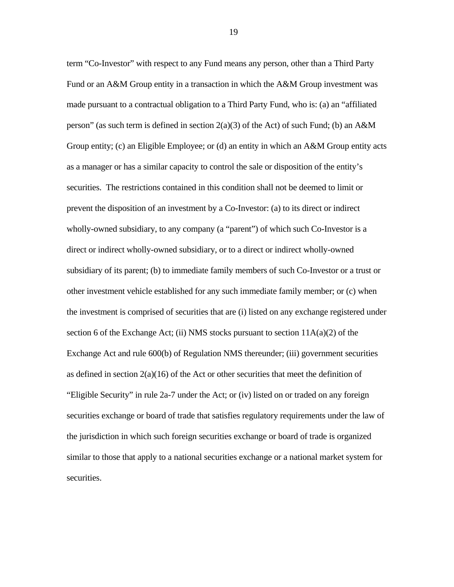term "Co-Investor" with respect to any Fund means any person, other than a Third Party Fund or an A&M Group entity in a transaction in which the A&M Group investment was made pursuant to a contractual obligation to a Third Party Fund, who is: (a) an "affiliated person" (as such term is defined in section  $2(a)(3)$  of the Act) of such Fund; (b) an A&M Group entity; (c) an Eligible Employee; or (d) an entity in which an A&M Group entity acts as a manager or has a similar capacity to control the sale or disposition of the entity's securities. The restrictions contained in this condition shall not be deemed to limit or prevent the disposition of an investment by a Co-Investor: (a) to its direct or indirect wholly-owned subsidiary, to any company (a "parent") of which such Co-Investor is a direct or indirect wholly-owned subsidiary, or to a direct or indirect wholly-owned subsidiary of its parent; (b) to immediate family members of such Co-Investor or a trust or other investment vehicle established for any such immediate family member; or (c) when the investment is comprised of securities that are (i) listed on any exchange registered under section 6 of the Exchange Act; (ii) NMS stocks pursuant to section  $11A(a)(2)$  of the Exchange Act and rule 600(b) of Regulation NMS thereunder; (iii) government securities as defined in section  $2(a)(16)$  of the Act or other securities that meet the definition of "Eligible Security" in rule 2a-7 under the Act; or (iv) listed on or traded on any foreign securities exchange or board of trade that satisfies regulatory requirements under the law of the jurisdiction in which such foreign securities exchange or board of trade is organized similar to those that apply to a national securities exchange or a national market system for securities.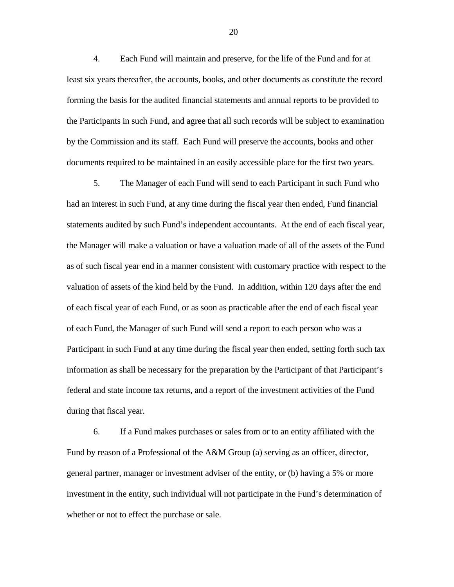4. Each Fund will maintain and preserve, for the life of the Fund and for at least six years thereafter, the accounts, books, and other documents as constitute the record forming the basis for the audited financial statements and annual reports to be provided to the Participants in such Fund, and agree that all such records will be subject to examination by the Commission and its staff. Each Fund will preserve the accounts, books and other documents required to be maintained in an easily accessible place for the first two years.

5. The Manager of each Fund will send to each Participant in such Fund who had an interest in such Fund, at any time during the fiscal year then ended, Fund financial statements audited by such Fund's independent accountants. At the end of each fiscal year, the Manager will make a valuation or have a valuation made of all of the assets of the Fund as of such fiscal year end in a manner consistent with customary practice with respect to the valuation of assets of the kind held by the Fund. In addition, within 120 days after the end of each fiscal year of each Fund, or as soon as practicable after the end of each fiscal year of each Fund, the Manager of such Fund will send a report to each person who was a Participant in such Fund at any time during the fiscal year then ended, setting forth such tax information as shall be necessary for the preparation by the Participant of that Participant's federal and state income tax returns, and a report of the investment activities of the Fund during that fiscal year.

6. If a Fund makes purchases or sales from or to an entity affiliated with the Fund by reason of a Professional of the A&M Group (a) serving as an officer, director, general partner, manager or investment adviser of the entity, or (b) having a 5% or more investment in the entity, such individual will not participate in the Fund's determination of whether or not to effect the purchase or sale.